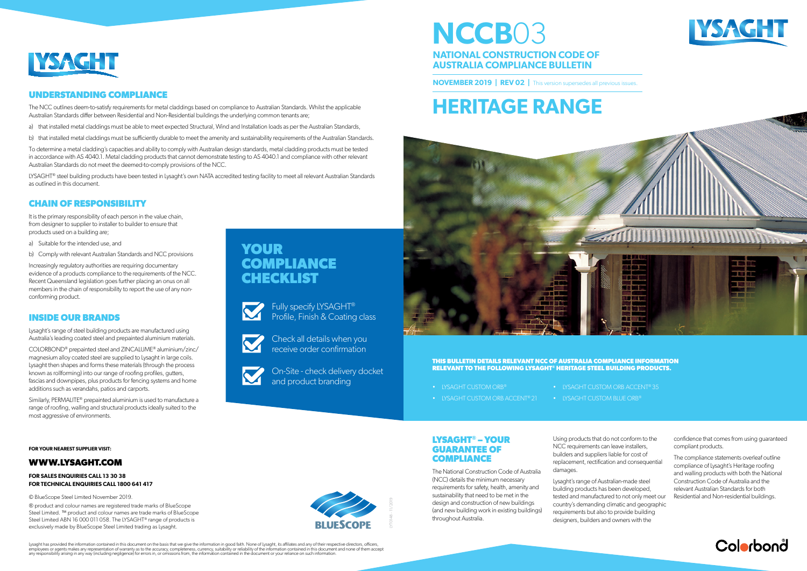**LYSAGHT® – YOUR GUARANTEE OF COMPLIANCE**

The National Construction Code of Australia (NCC) details the minimum necessary requirements for safety, health, amenity and sustainability that need to be met in the design and construction of new buildings (and new building work in existing buildings) throughout Australia.

Using products that do not conform to the NCC requirements can leave installers, builders and suppliers liable for cost of replacement, rectification and consequential damages.

Lysaght's range of Australian-made steel building products has been developed, tested and manufactured to not only meet our country's demanding climatic and geographic requirements but also to provide building designers, builders and owners with the

Lysaght has provided the information contained in this document on the basis that we give the information in good faith. None of Lysaght, its affiliates and any of their respective directors, officers, employees or agents makes any representation of warranty as to the accuracy, completeness, currency, suitability or reliability of the information contained in this document and none of them accept<br>any responsibility arisi



• LYSAGHT CUSTOM ORB ACCENT<sup>®</sup> 35

confidence that comes from using guaranteed compliant products.

The compliance statements overleaf outline compliance of Lysaght's Heritage roofing and walling products with both the National Construction Code of Australia and the relevant Australian Standards for both Residential and Non-residential buildings.



- LYSAGHT CUSTOM ORB®
- 
- LYSAGHT CUSTOM ORB ACCENT® 21
- **LYSAGHT CUSTOM BLUE ORB®**

LYT0148 - 11/2019

**YOUR COMPLIANCE CHECKLIST**



It is the primary responsibility of each person in the value chain, from designer to supplier to installer to builder to ensure that products used on a building are;

> Fully specify LYSAGHT® Profile, Finish & Coating class

Check all details when you receive order confirmation



On-Site - check delivery docket and product branding

# **HERITAGE RANGE**



## **NCCB**03 **NATIONAL CONSTRUCTION CODE OF AUSTRALIA COMPLIANCE BULLETIN**

**NOVEMBER 2019 | REV 02 | This version supersedes all previous issues.** 

- a) that installed metal claddings must be able to meet expected Structural, Wind and Installation loads as per the Australian Standards,
- b) that installed metal claddings must be sufficiently durable to meet the amenity and sustainability requirements of the Australian Standards.

#### **THIS BULLETIN DETAILS RELEVANT NCC OF AUSTRALIA COMPLIANCE INFORMATION RELEVANT TO THE FOLLOWING LYSAGHT® HERITAGE STEEL BUILDING PRODUCTS.**

#### **INSIDE OUR BRANDS**

LYSAGHT<sup>®</sup> steel building products have been tested in Lysaght's own NATA accredited testing facility to meet all relevant Australian Standards as outlined in this document.

Lysaght's range of steel building products are manufactured using Australia's leading coated steel and prepainted aluminium materials.

COLORBOND® prepainted steel and ZINCALUME® aluminium/zinc/ magnesium alloy coated steel are supplied to Lysaght in large coils. Lysaght then shapes and forms these materials (through the process known as rollforming) into our range of roofing profiles, gutters, fascias and downpipes, plus products for fencing systems and home additions such as verandahs, patios and carports.

Similarly, PERMALITE® prepainted aluminium is used to manufacture a range of roofing, walling and structural products ideally suited to the most aggressive of environments.

### **CHAIN OF RESPONSIBILITY**

- a) Suitable for the intended use, and
- b) Comply with relevant Australian Standards and NCC provisions

Increasingly regulatory authorities are requiring documentary evidence of a products compliance to the requirements of the NCC. Recent Queensland legislation goes further placing an onus on all members in the chain of responsibility to report the use of any nonconforming product.



#### **UNDERSTANDING COMPLIANCE**

The NCC outlines deem-to-satisfy requirements for metal claddings based on compliance to Australian Standards. Whilst the applicable Australian Standards differ between Residential and Non-Residential buildings the underlying common tenants are;

To determine a metal cladding's capacities and ability to comply with Australian design standards, metal cladding products must be tested in accordance with AS 4040.1. Metal cladding products that cannot demonstrate testing to AS 4040.1 and compliance with other relevant Australian Standards do not meet the deemed-to-comply provisions of the NCC.

**FOR YOUR NEAREST SUPPLIER VISIT:** 

#### **WWW.LYSAGHT.COM**

#### **FOR SALES ENQUIRIES CALL 13 30 38 FOR TECHNICAL ENQUIRIES CALL 1800 641 417**

© BlueScope Steel Limited November 2019.

® product and colour names are registered trade marks of BlueScope Steel Limited. ™ product and colour names are trade marks of BlueScope Steel Limited ABN 16 000 011 058. The LYSAGHT<sup>®</sup> range of products is exclusively made by BlueScope Steel Limited trading as Lysaght.